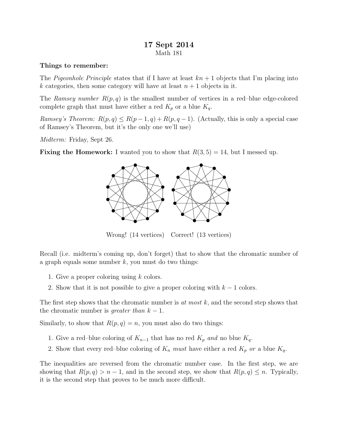## 17 Sept 2014 Math 181

## Things to remember:

The Pigeonhole Principle states that if I have at least  $kn+1$  objects that I'm placing into k categories, then some category will have at least  $n + 1$  objects in it.

The Ramsey number  $R(p, q)$  is the smallest number of vertices in a red–blue edge-colored complete graph that must have either a red  $K_p$  or a blue  $K_q$ .

Ramsey's Theorem:  $R(p,q) \leq R(p-1,q) + R(p,q-1)$ . (Actually, this is only a special case of Ramsey's Theorem, but it's the only one we'll use)

Midterm: Friday, Sept 26.

**Fixing the Homework:** I wanted you to show that  $R(3, 5) = 14$ , but I messed up.



Wrong! (14 vertices) Correct! (13 vertices)

Recall (i.e. midterm's coming up, don't forget) that to show that the chromatic number of a graph equals some number  $k$ , you must do two things:

- 1. Give a proper coloring using k colors.
- 2. Show that it is not possible to give a proper coloring with  $k 1$  colors.

The first step shows that the chromatic number is at most  $k$ , and the second step shows that the chromatic number is *greater than*  $k - 1$ .

Similarly, to show that  $R(p, q) = n$ , you must also do two things:

- 1. Give a red–blue coloring of  $K_{n-1}$  that has no red  $K_p$  and no blue  $K_q$ .
- 2. Show that every red–blue coloring of  $K_n$  must have either a red  $K_p$  or a blue  $K_q$ .

The inequalities are reversed from the chromatic number case. In the first step, we are showing that  $R(p,q) > n-1$ , and in the second step, we show that  $R(p,q) \leq n$ . Typically, it is the second step that proves to be much more difficult.